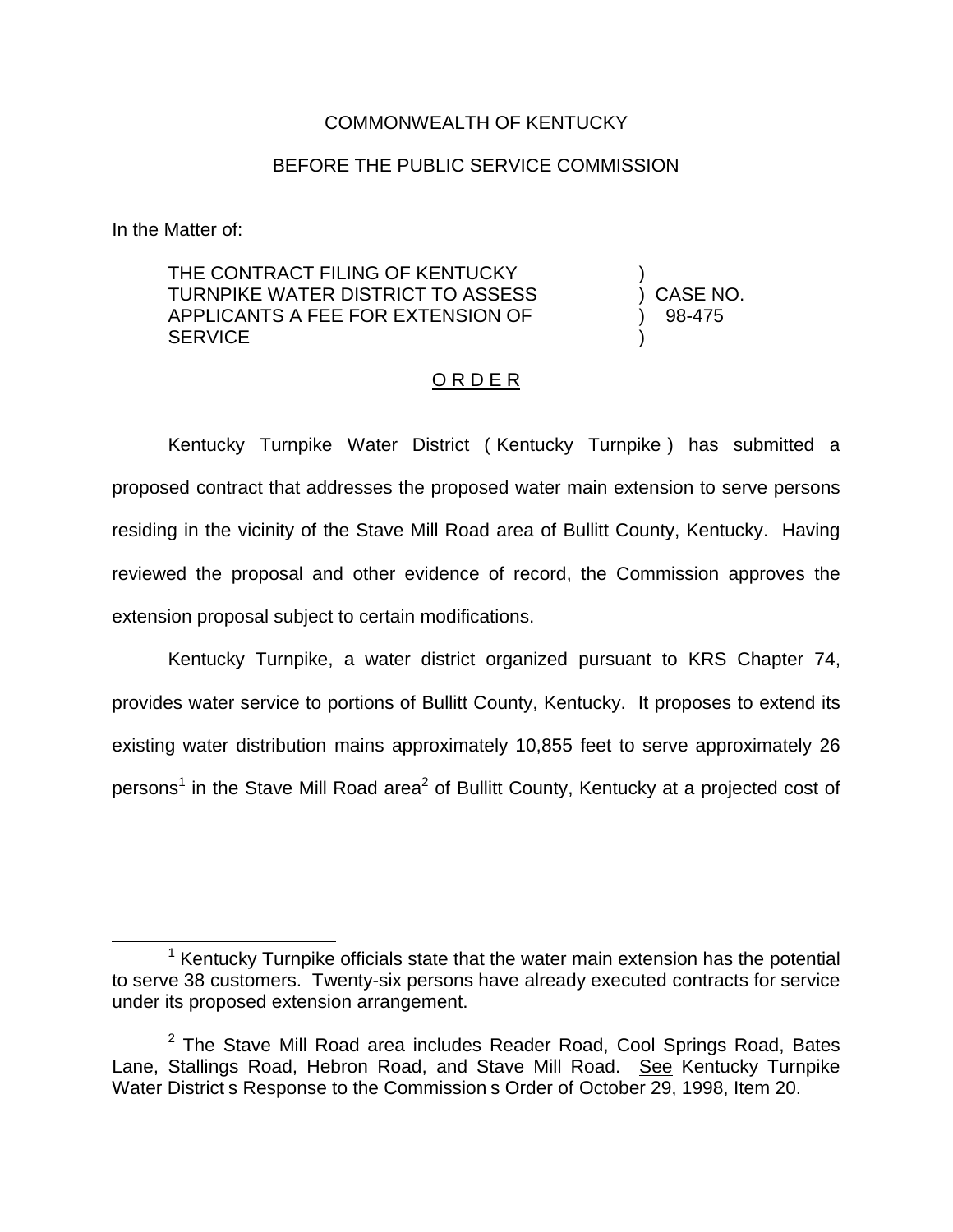## COMMONWEALTH OF KENTUCKY

## BEFORE THE PUBLIC SERVICE COMMISSION

In the Matter of:

THE CONTRACT FILING OF KENTUCKY TURNPIKE WATER DISTRICT TO ASSESS APPLICANTS A FEE FOR EXTENSION OF **SERVICE** 

) ) CASE NO. ) 98-475 )

## O R D E R

Kentucky Turnpike Water District ( Kentucky Turnpike ) has submitted a proposed contract that addresses the proposed water main extension to serve persons residing in the vicinity of the Stave Mill Road area of Bullitt County, Kentucky. Having reviewed the proposal and other evidence of record, the Commission approves the extension proposal subject to certain modifications.

Kentucky Turnpike, a water district organized pursuant to KRS Chapter 74, provides water service to portions of Bullitt County, Kentucky. It proposes to extend its existing water distribution mains approximately 10,855 feet to serve approximately 26 persons<sup>1</sup> in the Stave Mill Road area<sup>2</sup> of Bullitt County, Kentucky at a projected cost of

 $1$  Kentucky Turnpike officials state that the water main extension has the potential to serve 38 customers. Twenty-six persons have already executed contracts for service under its proposed extension arrangement.

 $2$  The Stave Mill Road area includes Reader Road, Cool Springs Road, Bates Lane, Stallings Road, Hebron Road, and Stave Mill Road. See Kentucky Turnpike Water District s Response to the Commission s Order of October 29, 1998, Item 20.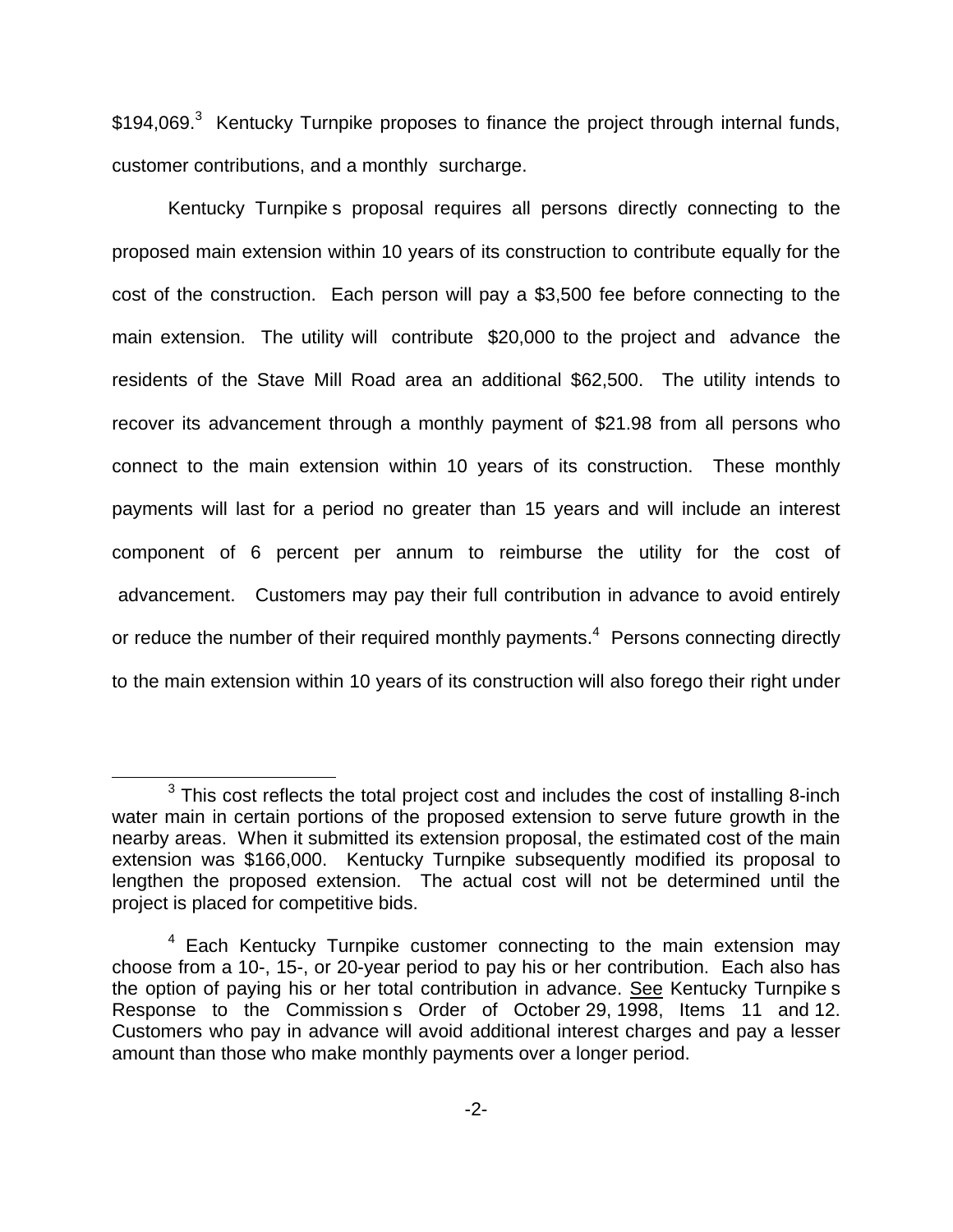\$194,069.<sup>3</sup> Kentucky Turnpike proposes to finance the project through internal funds, customer contributions, and a monthly surcharge.

Kentucky Turnpike s proposal requires all persons directly connecting to the proposed main extension within 10 years of its construction to contribute equally for the cost of the construction. Each person will pay a \$3,500 fee before connecting to the main extension. The utility will contribute \$20,000 to the project and advance the residents of the Stave Mill Road area an additional \$62,500. The utility intends to recover its advancement through a monthly payment of \$21.98 from all persons who connect to the main extension within 10 years of its construction. These monthly payments will last for a period no greater than 15 years and will include an interest component of 6 percent per annum to reimburse the utility for the cost of advancement. Customers may pay their full contribution in advance to avoid entirely or reduce the number of their required monthly payments.<sup>4</sup> Persons connecting directly to the main extension within 10 years of its construction will also forego their right under

 $3$  This cost reflects the total project cost and includes the cost of installing 8-inch water main in certain portions of the proposed extension to serve future growth in the nearby areas. When it submitted its extension proposal, the estimated cost of the main extension was \$166,000. Kentucky Turnpike subsequently modified its proposal to lengthen the proposed extension. The actual cost will not be determined until the project is placed for competitive bids.

<sup>&</sup>lt;sup>4</sup> Each Kentucky Turnpike customer connecting to the main extension may choose from a 10-, 15-, or 20-year period to pay his or her contribution. Each also has the option of paying his or her total contribution in advance. See Kentucky Turnpike s Response to the Commission s Order of October 29, 1998, Items 11 and 12. Customers who pay in advance will avoid additional interest charges and pay a lesser amount than those who make monthly payments over a longer period.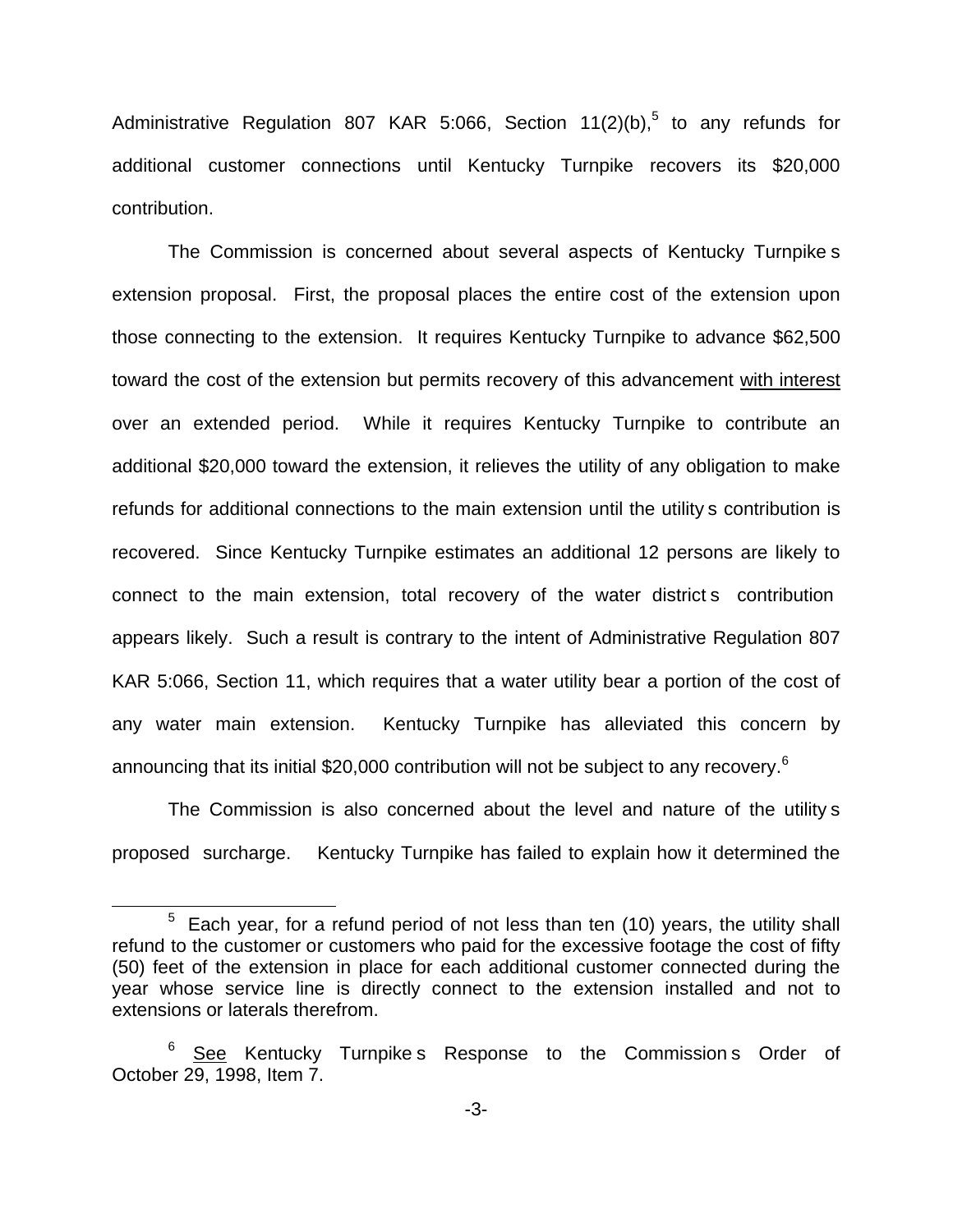Administrative Regulation 807 KAR 5:066, Section  $11(2)(b)$ ,<sup>5</sup> to any refunds for additional customer connections until Kentucky Turnpike recovers its \$20,000 contribution.

The Commission is concerned about several aspects of Kentucky Turnpike s extension proposal. First, the proposal places the entire cost of the extension upon those connecting to the extension. It requires Kentucky Turnpike to advance \$62,500 toward the cost of the extension but permits recovery of this advancement with interest over an extended period. While it requires Kentucky Turnpike to contribute an additional \$20,000 toward the extension, it relieves the utility of any obligation to make refunds for additional connections to the main extension until the utility s contribution is recovered. Since Kentucky Turnpike estimates an additional 12 persons are likely to connect to the main extension, total recovery of the water district s contribution appears likely. Such a result is contrary to the intent of Administrative Regulation 807 KAR 5:066, Section 11, which requires that a water utility bear a portion of the cost of any water main extension. Kentucky Turnpike has alleviated this concern by announcing that its initial \$20,000 contribution will not be subject to any recovery.<sup>6</sup>

The Commission is also concerned about the level and nature of the utility s proposed surcharge. Kentucky Turnpike has failed to explain how it determined the

 $5$  Each year, for a refund period of not less than ten (10) years, the utility shall refund to the customer or customers who paid for the excessive footage the cost of fifty (50) feet of the extension in place for each additional customer connected during the year whose service line is directly connect to the extension installed and not to extensions or laterals therefrom.

 $6$  See Kentucky Turnpike s Response to the Commission s Order of October 29, 1998, Item 7.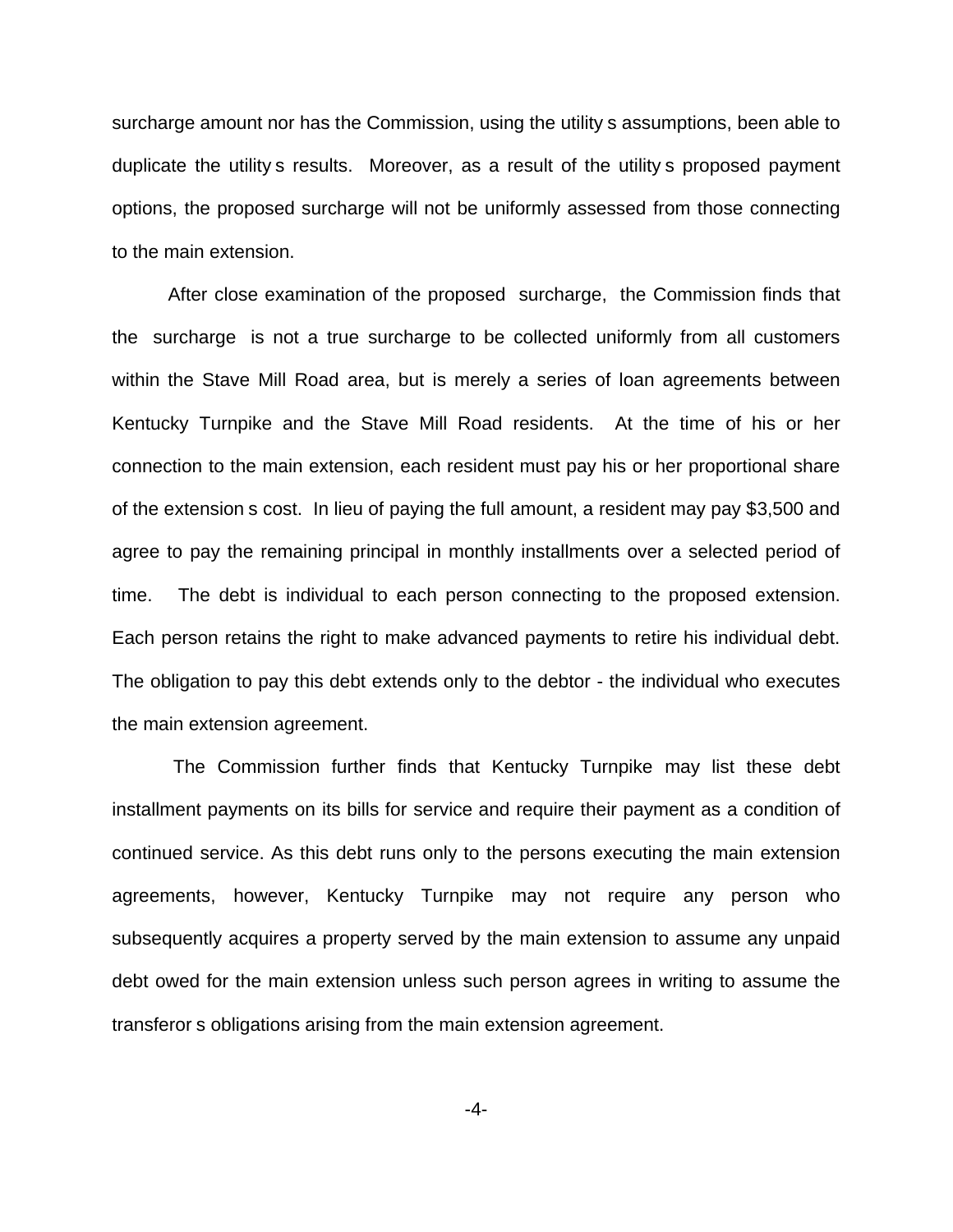surcharge amount nor has the Commission, using the utility s assumptions, been able to duplicate the utility s results. Moreover, as a result of the utility s proposed payment options, the proposed surcharge will not be uniformly assessed from those connecting to the main extension.

After close examination of the proposed surcharge, the Commission finds that the surcharge is not a true surcharge to be collected uniformly from all customers within the Stave Mill Road area, but is merely a series of loan agreements between Kentucky Turnpike and the Stave Mill Road residents. At the time of his or her connection to the main extension, each resident must pay his or her proportional share of the extension s cost. In lieu of paying the full amount, a resident may pay \$3,500 and agree to pay the remaining principal in monthly installments over a selected period of time. The debt is individual to each person connecting to the proposed extension. Each person retains the right to make advanced payments to retire his individual debt. The obligation to pay this debt extends only to the debtor - the individual who executes the main extension agreement.

The Commission further finds that Kentucky Turnpike may list these debt installment payments on its bills for service and require their payment as a condition of continued service. As this debt runs only to the persons executing the main extension agreements, however, Kentucky Turnpike may not require any person who subsequently acquires a property served by the main extension to assume any unpaid debt owed for the main extension unless such person agrees in writing to assume the transferor s obligations arising from the main extension agreement.

-4-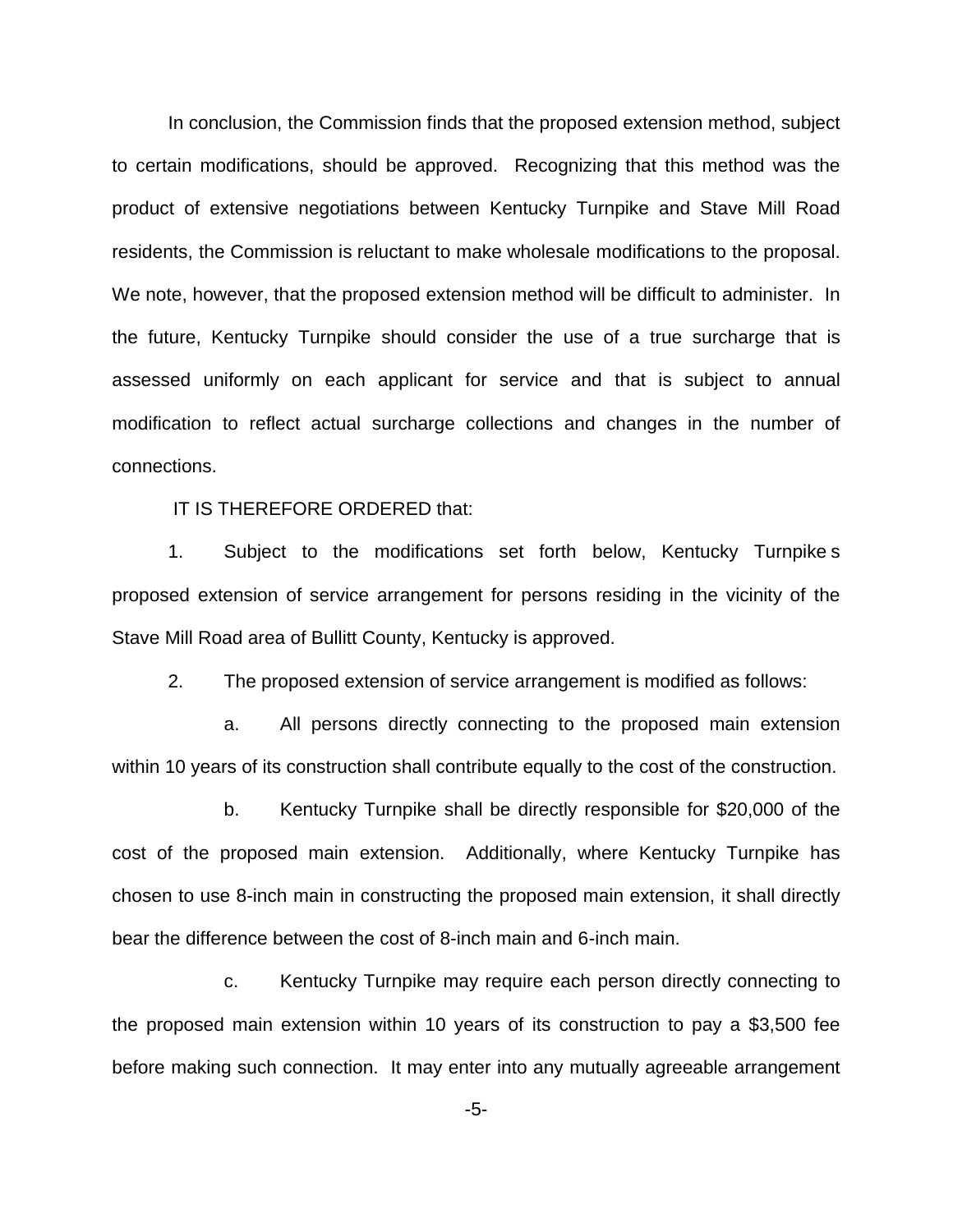In conclusion, the Commission finds that the proposed extension method, subject to certain modifications, should be approved. Recognizing that this method was the product of extensive negotiations between Kentucky Turnpike and Stave Mill Road residents, the Commission is reluctant to make wholesale modifications to the proposal. We note, however, that the proposed extension method will be difficult to administer. In the future, Kentucky Turnpike should consider the use of a true surcharge that is assessed uniformly on each applicant for service and that is subject to annual modification to reflect actual surcharge collections and changes in the number of connections.

IT IS THEREFORE ORDERED that:

1. Subject to the modifications set forth below, Kentucky Turnpike s proposed extension of service arrangement for persons residing in the vicinity of the Stave Mill Road area of Bullitt County, Kentucky is approved.

2. The proposed extension of service arrangement is modified as follows:

a. All persons directly connecting to the proposed main extension within 10 years of its construction shall contribute equally to the cost of the construction.

b. Kentucky Turnpike shall be directly responsible for \$20,000 of the cost of the proposed main extension. Additionally, where Kentucky Turnpike has chosen to use 8-inch main in constructing the proposed main extension, it shall directly bear the difference between the cost of 8-inch main and 6-inch main.

c. Kentucky Turnpike may require each person directly connecting to the proposed main extension within 10 years of its construction to pay a \$3,500 fee before making such connection. It may enter into any mutually agreeable arrangement

-5-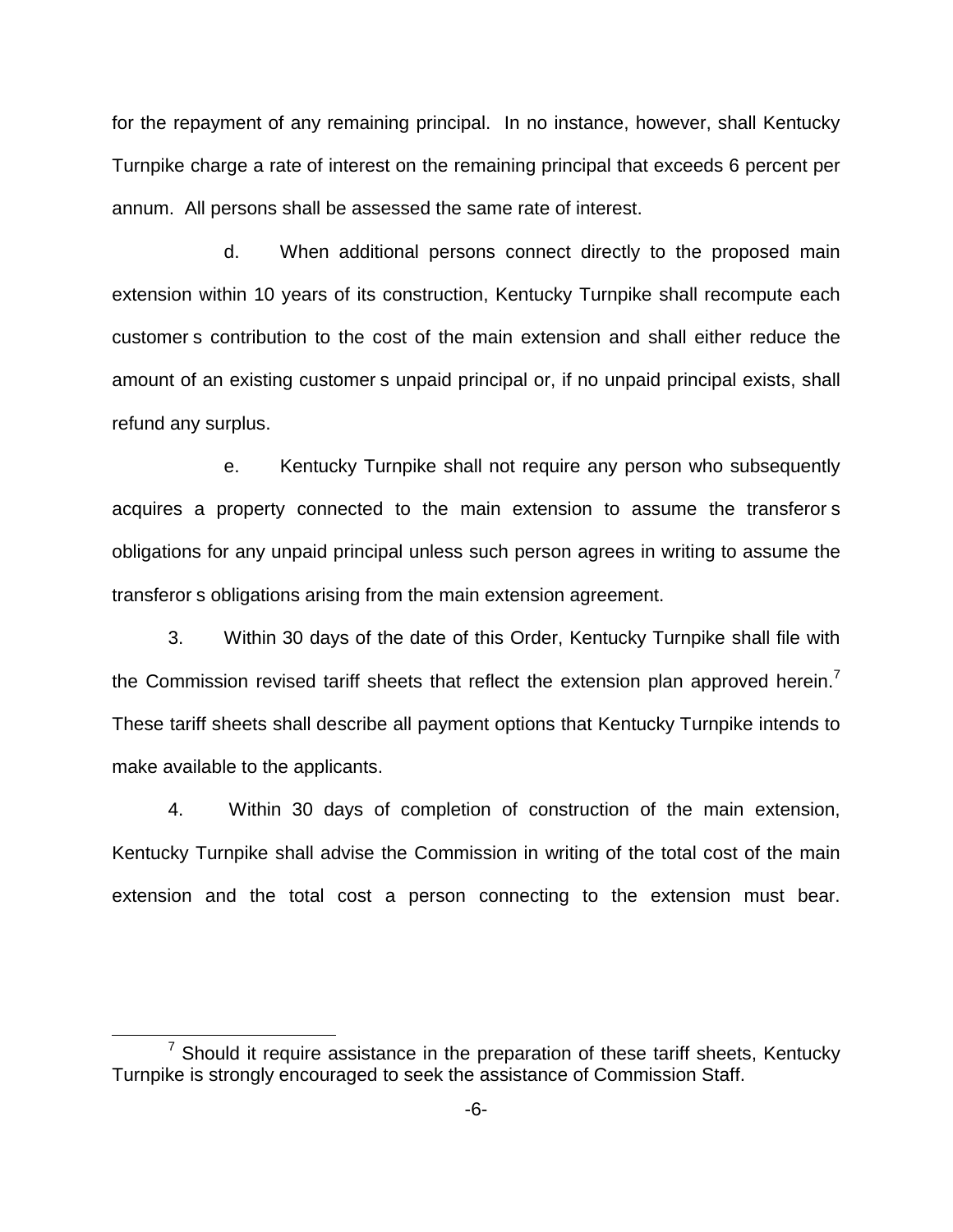for the repayment of any remaining principal. In no instance, however, shall Kentucky Turnpike charge a rate of interest on the remaining principal that exceeds 6 percent per annum. All persons shall be assessed the same rate of interest.

d. When additional persons connect directly to the proposed main extension within 10 years of its construction, Kentucky Turnpike shall recompute each customer s contribution to the cost of the main extension and shall either reduce the amount of an existing customer s unpaid principal or, if no unpaid principal exists, shall refund any surplus.

e. Kentucky Turnpike shall not require any person who subsequently acquires a property connected to the main extension to assume the transferor s obligations for any unpaid principal unless such person agrees in writing to assume the transferor s obligations arising from the main extension agreement.

3. Within 30 days of the date of this Order, Kentucky Turnpike shall file with the Commission revised tariff sheets that reflect the extension plan approved herein.<sup>7</sup> These tariff sheets shall describe all payment options that Kentucky Turnpike intends to make available to the applicants.

4. Within 30 days of completion of construction of the main extension, Kentucky Turnpike shall advise the Commission in writing of the total cost of the main extension and the total cost a person connecting to the extension must bear.

 $7$  Should it require assistance in the preparation of these tariff sheets, Kentucky Turnpike is strongly encouraged to seek the assistance of Commission Staff.